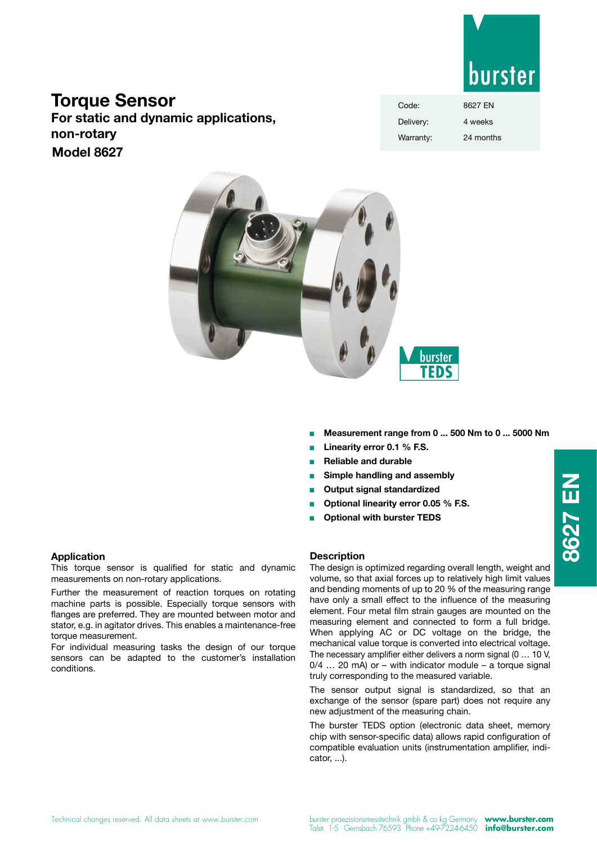

# **Torque Sensor**

**For static and dynamic applications, non-rotary Model 8627**

| Code:     | 8627 FN   |
|-----------|-----------|
| Delivery: | 4 weeks   |
| Warranty: | 24 months |



- <sup>n</sup> **Measurement range from 0 ... 500 Nm to 0 ... 5000 Nm**
- Linearity error 0.1 % F.S.
- <sup>n</sup> **Reliable and durable**
- **Simple handling and assembly**
- **Output signal standardized**
- <sup>n</sup> **Optional linearity error 0.05 % F.S.**
- **Optional with burster TEDS**

## **Application**

This torque sensor is qualified for static and dynamic measurements on non-rotary applications.

Further the measurement of reaction torques on rotating machine parts is possible. Especially torque sensors with flanges are preferred. They are mounted between motor and stator, e.g. in agitator drives. This enables a maintenance-free torque measurement.

For individual measuring tasks the design of our torque sensors can be adapted to the customer's installation conditions.

## **Description**

The design is optimized regarding overall length, weight and volume, so that axial forces up to relatively high limit values and bending moments of up to 20 % of the measuring range have only a small effect to the influence of the measuring element. Four metal film strain gauges are mounted on the measuring element and connected to form a full bridge. When applying AC or DC voltage on the bridge, the mechanical value torque is converted into electrical voltage. The necessary amplifier either delivers a norm signal (0 … 10 V,  $0/4$  ... 20 mA) or – with indicator module – a torque signal truly corresponding to the measured variable.

The sensor output signal is standardized, so that an exchange of the sensor (spare part) does not require any new adjustment of the measuring chain.

The burster TEDS option (electronic data sheet, memory chip with sensor-specific data) allows rapid configuration of compatible evaluation units (instrumentation amplifier, indicator, ...).